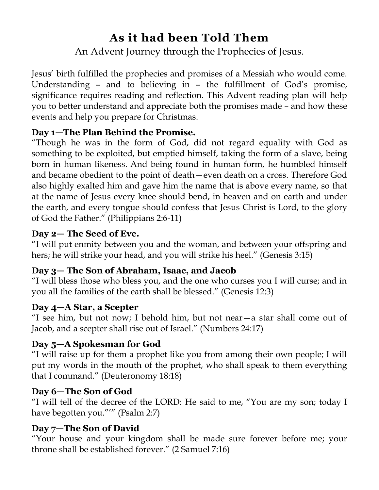# **As it had been Told Them**

# An Advent Journey through the Prophecies of Jesus.

Jesus' birth fulfilled the prophecies and promises of a Messiah who would come. Understanding – and to believing in – the fulfillment of God's promise, significance requires reading and reflection. This Advent reading plan will help you to better understand and appreciate both the promises made – and how these events and help you prepare for Christmas.

## **Day 1—The Plan Behind the Promise.**

"Though he was in the form of God, did not regard equality with God as something to be exploited, but emptied himself, taking the form of a slave, being born in human likeness. And being found in human form, he humbled himself and became obedient to the point of death—even death on a cross. Therefore God also highly exalted him and gave him the name that is above every name, so that at the name of Jesus every knee should bend, in heaven and on earth and under the earth, and every tongue should confess that Jesus Christ is Lord, to the glory of God the Father." (Philippians 2:6-11)

## **Day 2— The Seed of Eve.**

"I will put enmity between you and the woman, and between your offspring and hers; he will strike your head, and you will strike his heel." (Genesis 3:15)

## **Day 3— The Son of Abraham, Isaac, and Jacob**

"I will bless those who bless you, and the one who curses you I will curse; and in you all the families of the earth shall be blessed." (Genesis 12:3)

#### **Day 4—A Star, a Scepter**

"I see him, but not now; I behold him, but not near—a star shall come out of Jacob, and a scepter shall rise out of Israel." (Numbers 24:17)

## **Day 5—A Spokesman for God**

"I will raise up for them a prophet like you from among their own people; I will put my words in the mouth of the prophet, who shall speak to them everything that I command." (Deuteronomy 18:18)

#### **Day 6—The Son of God**

"I will tell of the decree of the LORD: He said to me, "You are my son; today I have begotten you."'" (Psalm 2:7)

## **Day 7—The Son of David**

"Your house and your kingdom shall be made sure forever before me; your throne shall be established forever." (2 Samuel 7:16)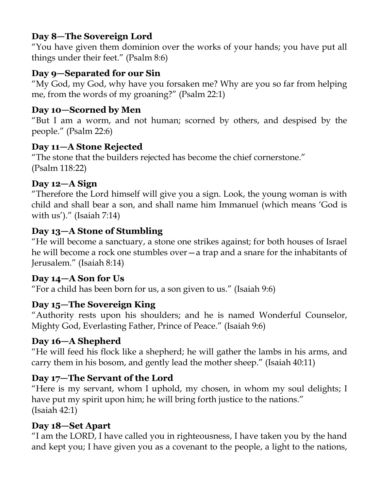## **Day 8—The Sovereign Lord**

"You have given them dominion over the works of your hands; you have put all things under their feet." (Psalm 8:6)

### **Day 9—Separated for our Sin**

"My God, my God, why have you forsaken me? Why are you so far from helping me, from the words of my groaning?" (Psalm 22:1)

#### **Day 10—Scorned by Men**

"But I am a worm, and not human; scorned by others, and despised by the people." (Psalm 22:6)

#### **Day 11—A Stone Rejected**

"The stone that the builders rejected has become the chief cornerstone." (Psalm 118:22)

#### **Day 12—A Sign**

"Therefore the Lord himself will give you a sign. Look, the young woman is with child and shall bear a son, and shall name him Immanuel (which means 'God is with us')." (Isaiah 7:14)

#### **Day 13—A Stone of Stumbling**

"He will become a sanctuary, a stone one strikes against; for both houses of Israel he will become a rock one stumbles over—a trap and a snare for the inhabitants of Jerusalem." (Isaiah 8:14)

#### **Day 14—A Son for Us**

"For a child has been born for us, a son given to us." (Isaiah 9:6)

#### **Day 15—The Sovereign King**

"Authority rests upon his shoulders; and he is named Wonderful Counselor, Mighty God, Everlasting Father, Prince of Peace." (Isaiah 9:6)

#### **Day 16—A Shepherd**

"He will feed his flock like a shepherd; he will gather the lambs in his arms, and carry them in his bosom, and gently lead the mother sheep." (Isaiah 40:11)

#### **Day 17—The Servant of the Lord**

"Here is my servant, whom I uphold, my chosen, in whom my soul delights; I have put my spirit upon him; he will bring forth justice to the nations." (Isaiah 42:1)

#### **Day 18—Set Apart**

"I am the LORD, I have called you in righteousness, I have taken you by the hand and kept you; I have given you as a covenant to the people, a light to the nations,